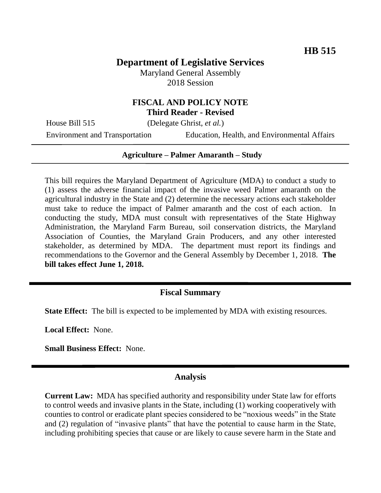# **Department of Legislative Services**

Maryland General Assembly 2018 Session

### **FISCAL AND POLICY NOTE Third Reader - Revised**

House Bill 515 (Delegate Ghrist, *et al.*)

Environment and Transportation Education, Health, and Environmental Affairs

#### **Agriculture – Palmer Amaranth – Study**

This bill requires the Maryland Department of Agriculture (MDA) to conduct a study to (1) assess the adverse financial impact of the invasive weed Palmer amaranth on the agricultural industry in the State and (2) determine the necessary actions each stakeholder must take to reduce the impact of Palmer amaranth and the cost of each action. In conducting the study, MDA must consult with representatives of the State Highway Administration, the Maryland Farm Bureau, soil conservation districts, the Maryland Association of Counties, the Maryland Grain Producers, and any other interested stakeholder, as determined by MDA. The department must report its findings and recommendations to the Governor and the General Assembly by December 1, 2018. **The bill takes effect June 1, 2018.**

### **Fiscal Summary**

**State Effect:** The bill is expected to be implemented by MDA with existing resources.

**Local Effect:** None.

**Small Business Effect:** None.

#### **Analysis**

**Current Law:** MDA has specified authority and responsibility under State law for efforts to control weeds and invasive plants in the State, including (1) working cooperatively with counties to control or eradicate plant species considered to be "noxious weeds" in the State and (2) regulation of "invasive plants" that have the potential to cause harm in the State, including prohibiting species that cause or are likely to cause severe harm in the State and